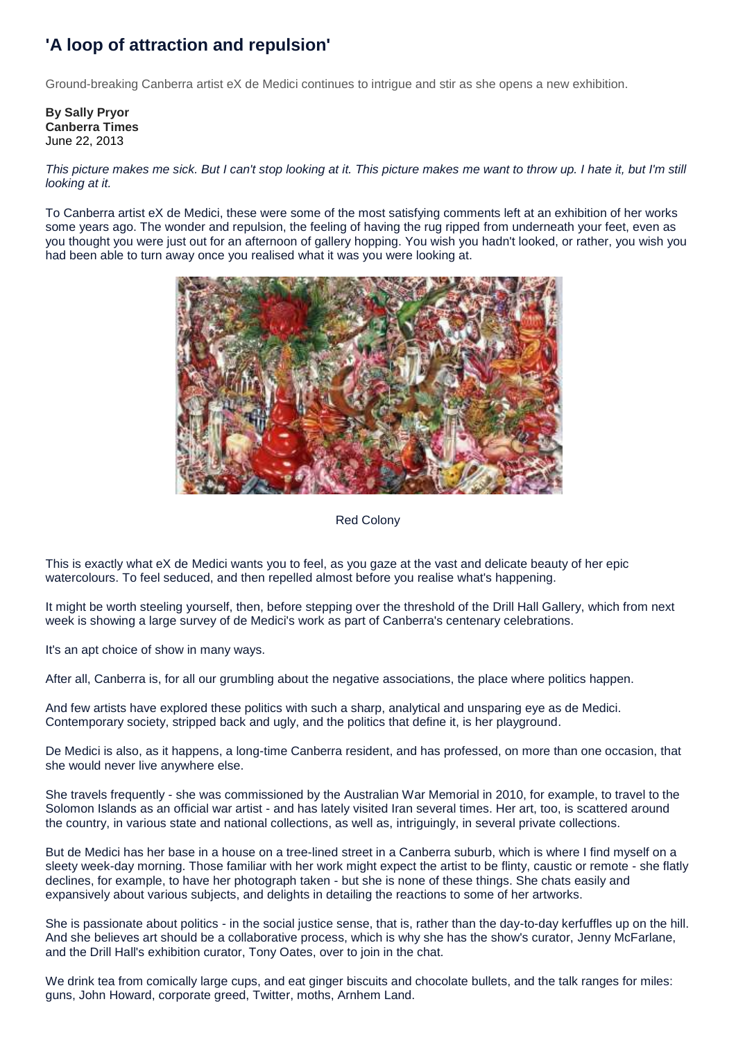## **'A loop of attraction and repulsion'**

Ground-breaking Canberra artist eX de Medici continues to intrigue and stir as she opens a new exhibition.

**By Sally Pryor Canberra Times** June 22, 2013

*This picture makes me sick. But I can't stop looking at it. This picture makes me want to throw up. I hate it, but I'm still looking at it.*

To Canberra artist eX de Medici, these were some of the most satisfying comments left at an exhibition of her works some years ago. The wonder and repulsion, the feeling of having the rug ripped from underneath your feet, even as you thought you were just out for an afternoon of gallery hopping. You wish you hadn't looked, or rather, you wish you had been able to turn away once you realised what it was you were looking at.



## Red Colony

This is exactly what eX de Medici wants you to feel, as you gaze at the vast and delicate beauty of her epic watercolours. To feel seduced, and then repelled almost before you realise what's happening.

It might be worth steeling yourself, then, before stepping over the threshold of the Drill Hall Gallery, which from next week is showing a large survey of de Medici's work as part of Canberra's centenary celebrations.

It's an apt choice of show in many ways.

After all, Canberra is, for all our grumbling about the negative associations, the place where politics happen.

And few artists have explored these politics with such a sharp, analytical and unsparing eye as de Medici. Contemporary society, stripped back and ugly, and the politics that define it, is her playground.

De Medici is also, as it happens, a long-time Canberra resident, and has professed, on more than one occasion, that she would never live anywhere else.

She travels frequently - she was commissioned by the Australian War Memorial in 2010, for example, to travel to the Solomon Islands as an official war artist - and has lately visited Iran several times. Her art, too, is scattered around the country, in various state and national collections, as well as, intriguingly, in several private collections.

But de Medici has her base in a house on a tree-lined street in a Canberra suburb, which is where I find myself on a sleety week-day morning. Those familiar with her work might expect the artist to be flinty, caustic or remote - she flatly declines, for example, to have her photograph taken - but she is none of these things. She chats easily and expansively about various subjects, and delights in detailing the reactions to some of her artworks.

She is passionate about politics - in the social justice sense, that is, rather than the day-to-day kerfuffles up on the hill. And she believes art should be a collaborative process, which is why she has the show's curator, Jenny McFarlane, and the Drill Hall's exhibition curator, Tony Oates, over to join in the chat.

We drink tea from comically large cups, and eat ginger biscuits and chocolate bullets, and the talk ranges for miles: guns, John Howard, corporate greed, Twitter, moths, Arnhem Land.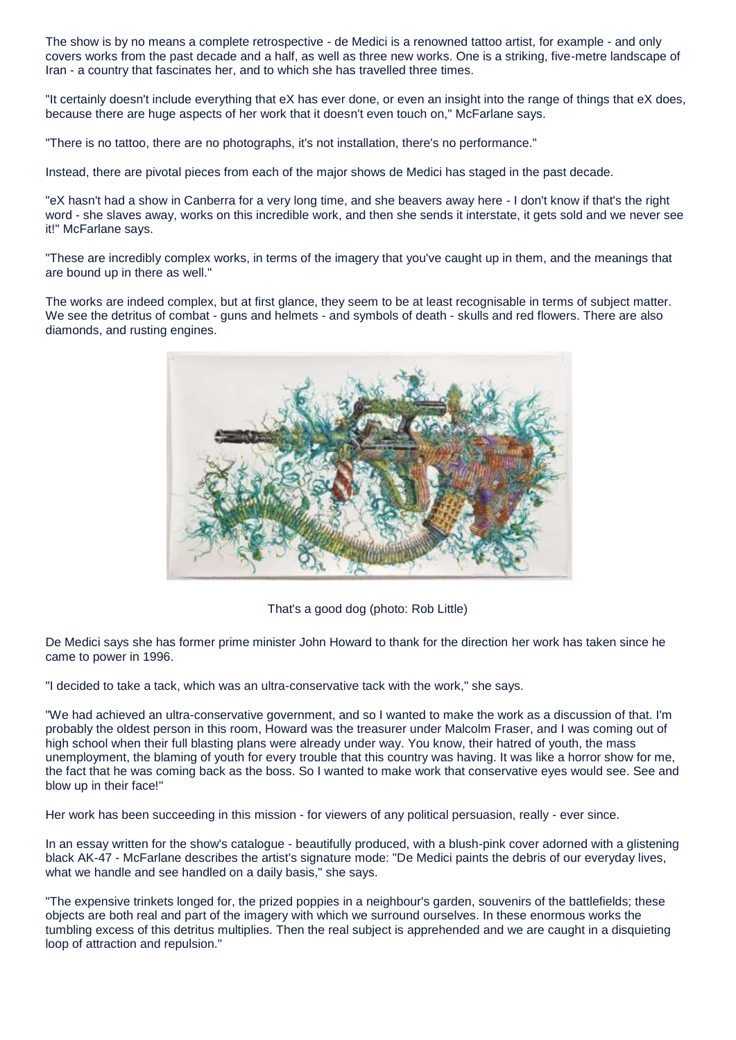The show is by no means a complete retrospective - de Medici is a renowned tattoo artist, for example - and only covers works from the past decade and a half, as well as three new works. One is a striking, five-metre landscape of Iran - a country that fascinates her, and to which she has travelled three times.

"It certainly doesn't include everything that eX has ever done, or even an insight into the range of things that eX does, because there are huge aspects of her work that it doesn't even touch on," McFarlane says.

"There is no tattoo, there are no photographs, it's not installation, there's no performance."

Instead, there are pivotal pieces from each of the major shows de Medici has staged in the past decade.

"eX hasn't had a show in Canberra for a very long time, and she beavers away here - I don't know if that's the right word - she slaves away, works on this incredible work, and then she sends it interstate, it gets sold and we never see it!" McFarlane says.

"These are incredibly complex works, in terms of the imagery that you've caught up in them, and the meanings that are bound up in there as well."

The works are indeed complex, but at first glance, they seem to be at least recognisable in terms of subject matter. We see the detritus of combat - guns and helmets - and symbols of death - skulls and red flowers. There are also diamonds, and rusting engines.



That's a good dog (photo: Rob Little)

De Medici says she has former prime minister John Howard to thank for the direction her work has taken since he came to power in 1996.

"I decided to take a tack, which was an ultra-conservative tack with the work," she says.

"We had achieved an ultra-conservative government, and so I wanted to make the work as a discussion of that. I'm probably the oldest person in this room, Howard was the treasurer under Malcolm Fraser, and I was coming out of high school when their full blasting plans were already under way. You know, their hatred of youth, the mass unemployment, the blaming of youth for every trouble that this country was having. It was like a horror show for me, the fact that he was coming back as the boss. So I wanted to make work that conservative eyes would see. See and blow up in their face!"

Her work has been succeeding in this mission - for viewers of any political persuasion, really - ever since.

In an essay written for the show's catalogue - beautifully produced, with a blush-pink cover adorned with a glistening black AK-47 - McFarlane describes the artist's signature mode: "De Medici paints the debris of our everyday lives, what we handle and see handled on a daily basis," she says.

"The expensive trinkets longed for, the prized poppies in a neighbour's garden, souvenirs of the battlefields; these objects are both real and part of the imagery with which we surround ourselves. In these enormous works the tumbling excess of this detritus multiplies. Then the real subject is apprehended and we are caught in a disquieting loop of attraction and repulsion."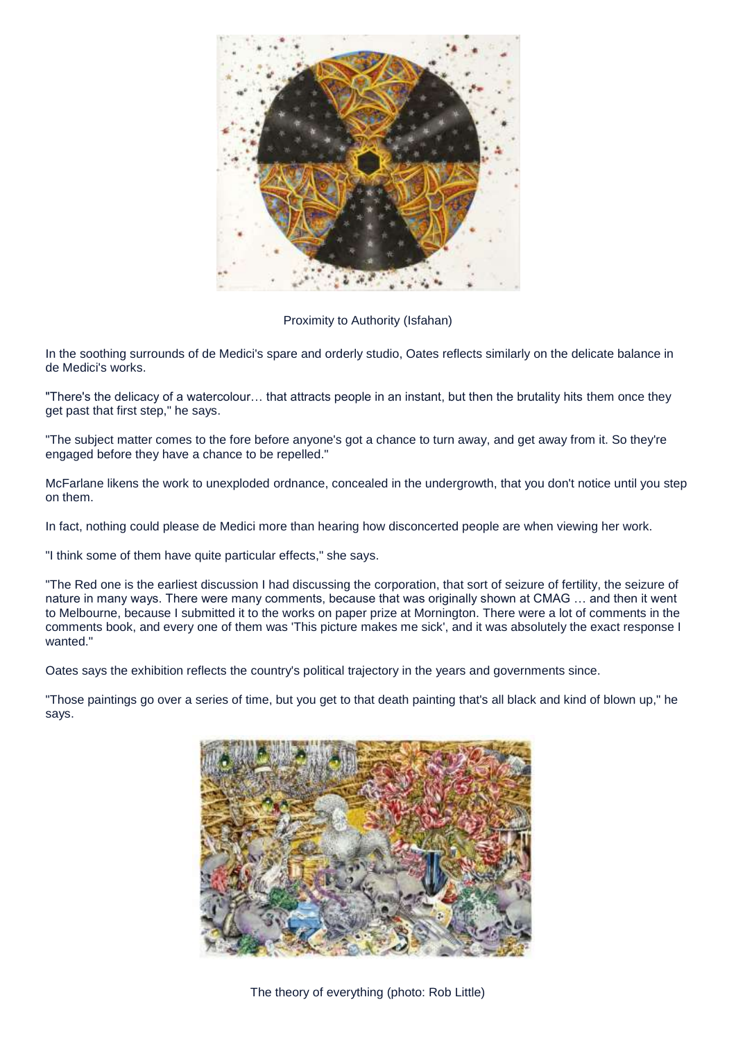

## Proximity to Authority (Isfahan)

In the soothing surrounds of de Medici's spare and orderly studio, Oates reflects similarly on the delicate balance in de Medici's works.

"There's the delicacy of a watercolour… that attracts people in an instant, but then the brutality hits them once they get past that first step," he says.

"The subject matter comes to the fore before anyone's got a chance to turn away, and get away from it. So they're engaged before they have a chance to be repelled."

McFarlane likens the work to unexploded ordnance, concealed in the undergrowth, that you don't notice until you step on them.

In fact, nothing could please de Medici more than hearing how disconcerted people are when viewing her work.

"I think some of them have quite particular effects," she says.

"The Red one is the earliest discussion I had discussing the corporation, that sort of seizure of fertility, the seizure of nature in many ways. There were many comments, because that was originally shown at CMAG … and then it went to Melbourne, because I submitted it to the works on paper prize at Mornington. There were a lot of comments in the comments book, and every one of them was 'This picture makes me sick', and it was absolutely the exact response I wanted."

Oates says the exhibition reflects the country's political trajectory in the years and governments since.

"Those paintings go over a series of time, but you get to that death painting that's all black and kind of blown up," he says.



The theory of everything (photo: Rob Little)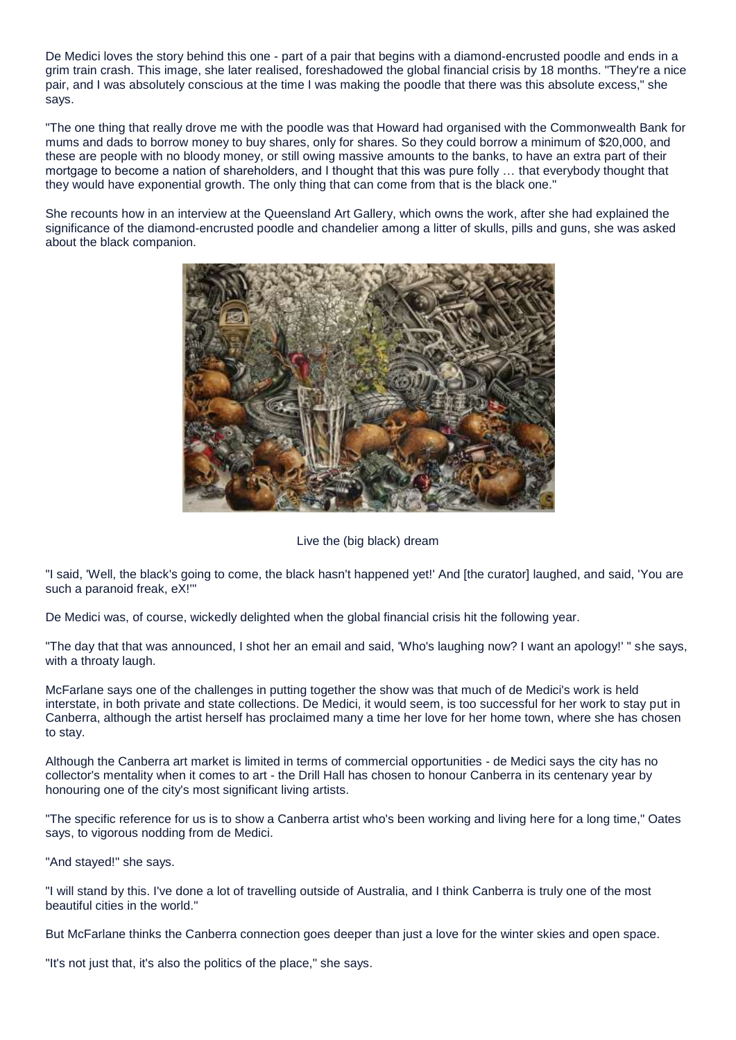De Medici loves the story behind this one - part of a pair that begins with a diamond-encrusted poodle and ends in a grim train crash. This image, she later realised, foreshadowed the global financial crisis by 18 months. "They're a nice pair, and I was absolutely conscious at the time I was making the poodle that there was this absolute excess," she says.

"The one thing that really drove me with the poodle was that Howard had organised with the Commonwealth Bank for mums and dads to borrow money to buy shares, only for shares. So they could borrow a minimum of \$20,000, and these are people with no bloody money, or still owing massive amounts to the banks, to have an extra part of their mortgage to become a nation of shareholders, and I thought that this was pure folly … that everybody thought that they would have exponential growth. The only thing that can come from that is the black one."

She recounts how in an interview at the Queensland Art Gallery, which owns the work, after she had explained the significance of the diamond-encrusted poodle and chandelier among a litter of skulls, pills and guns, she was asked about the black companion.



## Live the (big black) dream

"I said, 'Well, the black's going to come, the black hasn't happened yet!' And [the curator] laughed, and said, 'You are such a paranoid freak, eX!'"

De Medici was, of course, wickedly delighted when the global financial crisis hit the following year.

"The day that that was announced, I shot her an email and said, 'Who's laughing now? I want an apology!' " she says, with a throaty laugh.

McFarlane says one of the challenges in putting together the show was that much of de Medici's work is held interstate, in both private and state collections. De Medici, it would seem, is too successful for her work to stay put in Canberra, although the artist herself has proclaimed many a time her love for her home town, where she has chosen to stay.

Although the Canberra art market is limited in terms of commercial opportunities - de Medici says the city has no collector's mentality when it comes to art - the Drill Hall has chosen to honour Canberra in its centenary year by honouring one of the city's most significant living artists.

"The specific reference for us is to show a Canberra artist who's been working and living here for a long time," Oates says, to vigorous nodding from de Medici.

"And stayed!" she says.

"I will stand by this. I've done a lot of travelling outside of Australia, and I think Canberra is truly one of the most beautiful cities in the world."

But McFarlane thinks the Canberra connection goes deeper than just a love for the winter skies and open space.

"It's not just that, it's also the politics of the place," she says.